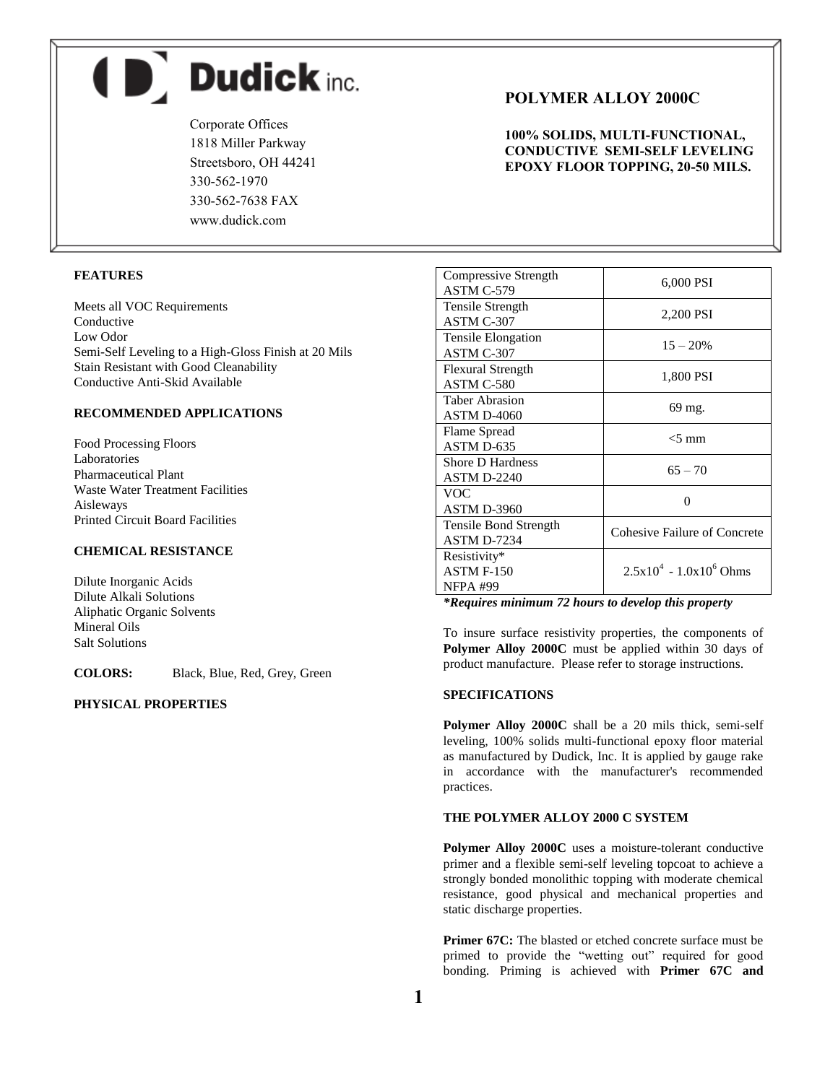$\blacksquare$  Dudick inc.

Corporate Offices 1818 Miller Parkway Streetsboro, OH 44241 330-562-1970 330-562-7638 FAX www.dudick.com

# **FEATURES**

Meets all VOC Requirements Conductive Low Odor Semi-Self Leveling to a High-Gloss Finish at 20 Mils Stain Resistant with Good Cleanability Conductive Anti-Skid Available

# **RECOMMENDED APPLICATIONS**

Food Processing Floors Laboratories Pharmaceutical Plant Waste Water Treatment Facilities Aisleways Printed Circuit Board Facilities

# **CHEMICAL RESISTANCE**

Dilute Inorganic Acids Dilute Alkali Solutions Aliphatic Organic Solvents Mineral Oils Salt Solutions

**COLORS:** Black, Blue, Red, Grey, Green

#### **PHYSICAL PROPERTIES**

# **POLYMER ALLOY 2000C**

**100% SOLIDS, MULTI-FUNCTIONAL, CONDUCTIVE SEMI-SELF LEVELING EPOXY FLOOR TOPPING, 20-50 MILS.**

| Compressive Strength<br>ASTM C-579                   | 6,000 PSI                           |  |
|------------------------------------------------------|-------------------------------------|--|
| <b>Tensile Strength</b><br>ASTM C-307                | 2,200 PSI                           |  |
| <b>Tensile Elongation</b><br>ASTM C-307              | $15 - 20%$                          |  |
| <b>Flexural Strength</b><br>ASTM C-580               | 1,800 PSI                           |  |
| Taber Abrasion<br><b>ASTM D-4060</b>                 | 69 mg.                              |  |
| Flame Spread<br>ASTM D-635                           | $<$ 5 mm                            |  |
| Shore D Hardness<br><b>ASTM D-2240</b>               | $65 - 70$                           |  |
| VOC<br><b>ASTM D-3960</b>                            | $\mathbf{\Omega}$                   |  |
| Tensile Bond Strength<br><b>ASTM D-7234</b>          | <b>Cohesive Failure of Concrete</b> |  |
| Resistivity*<br><b>ASTM F-150</b><br><b>NFPA #99</b> | $2.5x10^4 - 1.0x10^6$ Ohms          |  |

*\*Requires minimum 72 hours to develop this property*

To insure surface resistivity properties, the components of **Polymer Alloy 2000C** must be applied within 30 days of product manufacture. Please refer to storage instructions.

### **SPECIFICATIONS**

**Polymer Alloy 2000C** shall be a 20 mils thick, semi-self leveling, 100% solids multi-functional epoxy floor material as manufactured by Dudick, Inc. It is applied by gauge rake in accordance with the manufacturer's recommended practices.

# **THE POLYMER ALLOY 2000 C SYSTEM**

**Polymer Alloy 2000C** uses a moisture-tolerant conductive primer and a flexible semi-self leveling topcoat to achieve a strongly bonded monolithic topping with moderate chemical resistance, good physical and mechanical properties and static discharge properties.

Primer 67C: The blasted or etched concrete surface must be primed to provide the "wetting out" required for good bonding. Priming is achieved with **Primer 67C and**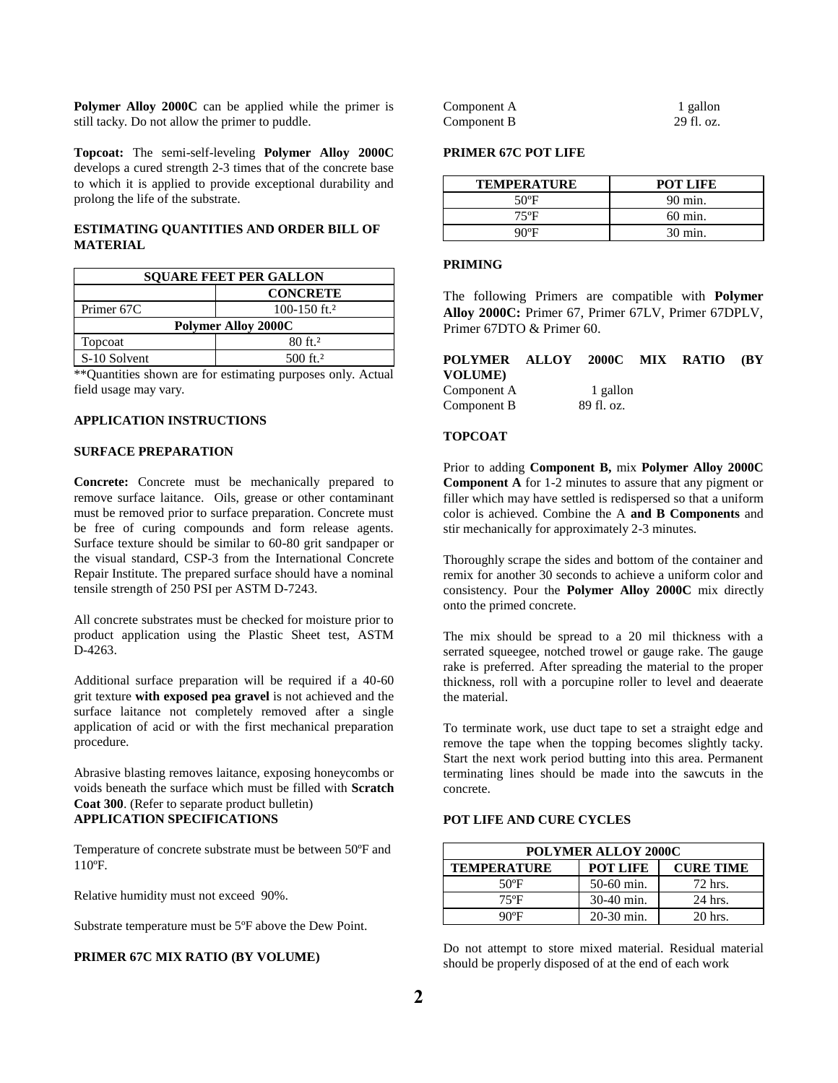**Polymer Alloy 2000C** can be applied while the primer is still tacky. Do not allow the primer to puddle.

**Topcoat:** The semi-self-leveling **Polymer Alloy 2000C** develops a cured strength 2-3 times that of the concrete base to which it is applied to provide exceptional durability and prolong the life of the substrate.

## **ESTIMATING QUANTITIES AND ORDER BILL OF MATERIAL**

| <b>SQUARE FEET PER GALLON</b> |                          |  |
|-------------------------------|--------------------------|--|
|                               | <b>CONCRETE</b>          |  |
| Primer 67C                    | 100-150 ft. <sup>2</sup> |  |
| <b>Polymer Alloy 2000C</b>    |                          |  |
| Topcoat                       | $80 \text{ ft}^2$        |  |
| S-10 Solvent                  | $500$ ft. <sup>2</sup>   |  |

\*\*Quantities shown are for estimating purposes only. Actual field usage may vary.

## **APPLICATION INSTRUCTIONS**

# **SURFACE PREPARATION**

**Concrete:** Concrete must be mechanically prepared to remove surface laitance. Oils, grease or other contaminant must be removed prior to surface preparation. Concrete must be free of curing compounds and form release agents. Surface texture should be similar to 60-80 grit sandpaper or the visual standard, CSP-3 from the International Concrete Repair Institute. The prepared surface should have a nominal tensile strength of 250 PSI per ASTM D-7243.

All concrete substrates must be checked for moisture prior to product application using the Plastic Sheet test, ASTM D-4263.

Additional surface preparation will be required if a 40-60 grit texture **with exposed pea gravel** is not achieved and the surface laitance not completely removed after a single application of acid or with the first mechanical preparation procedure.

Abrasive blasting removes laitance, exposing honeycombs or voids beneath the surface which must be filled with **Scratch Coat 300**. (Refer to separate product bulletin) **APPLICATION SPECIFICATIONS**

Temperature of concrete substrate must be between 50ºF and 110ºF.

Relative humidity must not exceed 90%.

Substrate temperature must be 5ºF above the Dew Point.

#### **PRIMER 67C MIX RATIO (BY VOLUME)**

| Component A | 1 gallon   |
|-------------|------------|
| Component B | 29 fl. oz. |

### **PRIMER 67C POT LIFE**

| <b>TEMPERATURE</b> | POT LIFE |
|--------------------|----------|
| $50^{\circ}$ F     | 90 min.  |
| 75°F               | 60 min.  |
| ባህ⊌ድ               | 30 min.  |

### **PRIMING**

The following Primers are compatible with **Polymer Alloy 2000C:** Primer 67, Primer 67LV, Primer 67DPLV, Primer 67DTO & Primer 60.

| POLYMER ALLOY 2000C MIX RATIO |            |  | (BY |
|-------------------------------|------------|--|-----|
| VOLUME)                       |            |  |     |
| Component A                   | 1 gallon   |  |     |
| Component B                   | 89 fl. oz. |  |     |
|                               |            |  |     |

### **TOPCOAT**

Prior to adding **Component B,** mix **Polymer Alloy 2000C Component A** for 1-2 minutes to assure that any pigment or filler which may have settled is redispersed so that a uniform color is achieved. Combine the A **and B Components** and stir mechanically for approximately 2-3 minutes.

Thoroughly scrape the sides and bottom of the container and remix for another 30 seconds to achieve a uniform color and consistency. Pour the **Polymer Alloy 2000C** mix directly onto the primed concrete.

The mix should be spread to a 20 mil thickness with a serrated squeegee, notched trowel or gauge rake. The gauge rake is preferred. After spreading the material to the proper thickness, roll with a porcupine roller to level and deaerate the material.

To terminate work, use duct tape to set a straight edge and remove the tape when the topping becomes slightly tacky. Start the next work period butting into this area. Permanent terminating lines should be made into the sawcuts in the concrete.

# **POT LIFE AND CURE CYCLES**

| <b>POLYMER ALLOY 2000C</b> |              |                  |  |
|----------------------------|--------------|------------------|--|
| <b>TEMPERATURE</b>         | POT LIFE     | <b>CURE TIME</b> |  |
| 50°F                       | $50-60$ min. | 72 hrs.          |  |
| $75^{\circ}$ F             | 30-40 min.   | 24 hrs.          |  |
| 90°F                       | $20-30$ min. | 20 hrs.          |  |

Do not attempt to store mixed material. Residual material should be properly disposed of at the end of each work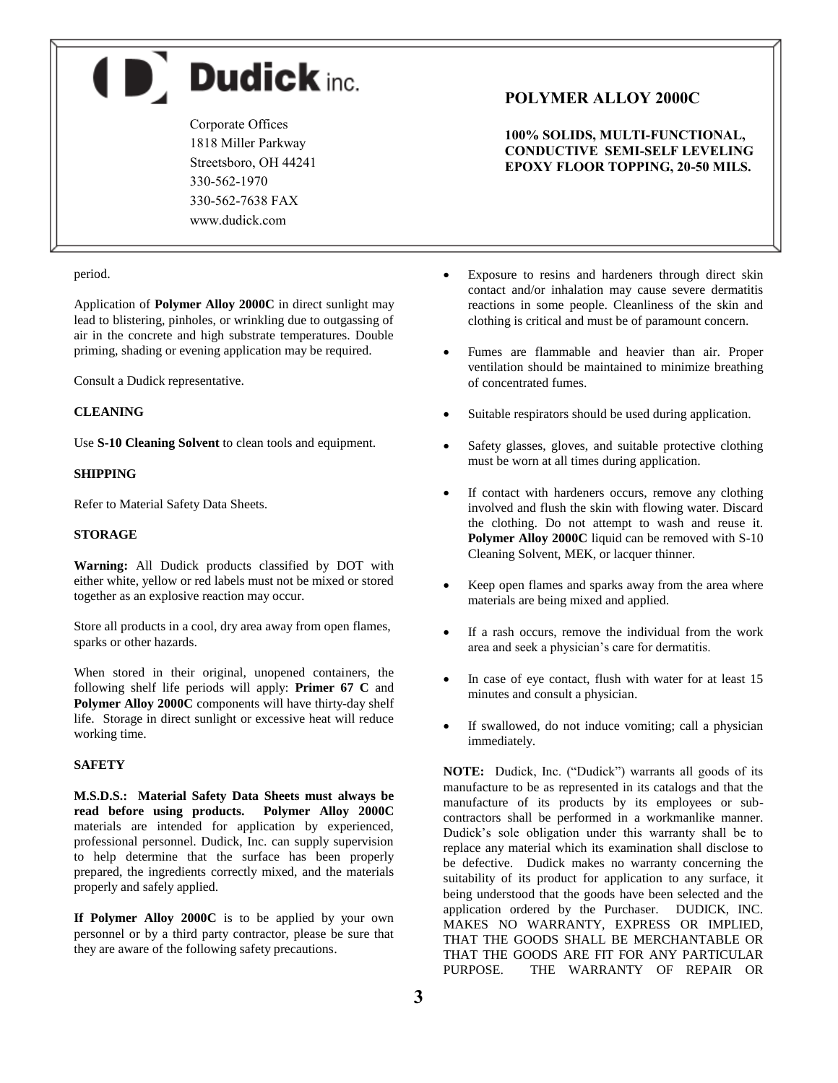**D** Dudick inc.

Corporate Offices 1818 Miller Parkway Streetsboro, OH 44241 330-562-1970 330-562-7638 FAX www.dudick.com

#### period.

Application of **Polymer Alloy 2000C** in direct sunlight may lead to blistering, pinholes, or wrinkling due to outgassing of air in the concrete and high substrate temperatures. Double priming, shading or evening application may be required.

Consult a Dudick representative.

#### **CLEANING**

Use **S-10 Cleaning Solvent** to clean tools and equipment.

#### **SHIPPING**

Refer to Material Safety Data Sheets.

# **STORAGE**

**Warning:** All Dudick products classified by DOT with either white, yellow or red labels must not be mixed or stored together as an explosive reaction may occur.

Store all products in a cool, dry area away from open flames, sparks or other hazards.

When stored in their original, unopened containers, the following shelf life periods will apply: **Primer 67 C** and **Polymer Alloy 2000C** components will have thirty-day shelf life. Storage in direct sunlight or excessive heat will reduce working time.

#### **SAFETY**

**M.S.D.S.: Material Safety Data Sheets must always be read before using products. Polymer Alloy 2000C** materials are intended for application by experienced, professional personnel. Dudick, Inc. can supply supervision to help determine that the surface has been properly prepared, the ingredients correctly mixed, and the materials properly and safely applied.

If Polymer Alloy 2000C is to be applied by your own personnel or by a third party contractor, please be sure that they are aware of the following safety precautions.

# **POLYMER ALLOY 2000C**

**100% SOLIDS, MULTI-FUNCTIONAL, CONDUCTIVE SEMI-SELF LEVELING EPOXY FLOOR TOPPING, 20-50 MILS.**

- Exposure to resins and hardeners through direct skin contact and/or inhalation may cause severe dermatitis reactions in some people. Cleanliness of the skin and clothing is critical and must be of paramount concern.
- Fumes are flammable and heavier than air. Proper ventilation should be maintained to minimize breathing of concentrated fumes.
- Suitable respirators should be used during application.
- Safety glasses, gloves, and suitable protective clothing must be worn at all times during application.
- If contact with hardeners occurs, remove any clothing involved and flush the skin with flowing water. Discard the clothing. Do not attempt to wash and reuse it. **Polymer Alloy 2000C** liquid can be removed with S-10 Cleaning Solvent, MEK, or lacquer thinner.
- Keep open flames and sparks away from the area where materials are being mixed and applied.
- If a rash occurs, remove the individual from the work area and seek a physician's care for dermatitis.
- In case of eye contact, flush with water for at least 15 minutes and consult a physician.
- If swallowed, do not induce vomiting; call a physician immediately.

**NOTE:** Dudick, Inc. ("Dudick") warrants all goods of its manufacture to be as represented in its catalogs and that the manufacture of its products by its employees or subcontractors shall be performed in a workmanlike manner. Dudick's sole obligation under this warranty shall be to replace any material which its examination shall disclose to be defective. Dudick makes no warranty concerning the suitability of its product for application to any surface, it being understood that the goods have been selected and the application ordered by the Purchaser. DUDICK, INC. MAKES NO WARRANTY, EXPRESS OR IMPLIED, THAT THE GOODS SHALL BE MERCHANTABLE OR THAT THE GOODS ARE FIT FOR ANY PARTICULAR PURPOSE. THE WARRANTY OF REPAIR OR